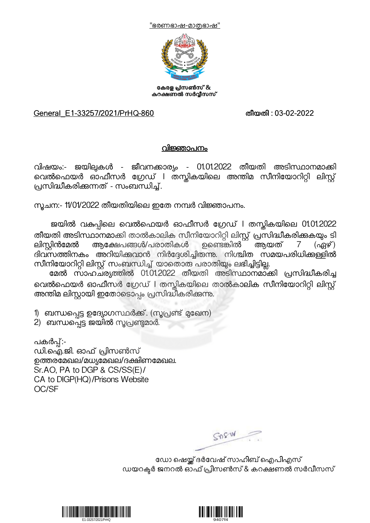"ഭരണഭാഷ-മാതഭാഷ"



കേരള പ്രിസൺസ് & കറക്ഷണൽ സർവ്വീസസ്

## General\_E1-33257/2021/PrHQ-860 തീയതി : 03-02-2022

## വിജ്ഞാപനം

വിഷയം:- ജയില്പകൾ - ജീവനക്കാര്യം - 01.01.2022 തീയതി അടിസ്ഥാനമാക്കി വെൽഫെയർ ഓഫീസർ ഗ്രേഡ് l തസ്കികയിലെ അന്തിമ സീനിയോറിറ്റി ലിസ്റ്റ് പ്രസിദ്ധീകരിക്കുന്നത് - സംബന്ധിച്ച്.

സുചന:- 11/01/2022 തീയതിയിലെ ഇതേ നമ്പർ വിജ്ഞാപനം.

ജയിൽ വകുപ്പിലെ വെൽഫെയർ ഓഫീസർ ഗ്രേഡ് l തസ്കികയിലെ 01.01.2022 തീയതി അടിസ്ഥാനമാക്കി താൽകാലിക സീനിയോറിറ്റി ലിസ്റ്റ് പ്രസിദ്ധീകരിക്കുകയും ടി<br>ലിസ്ലിൻമേൽ ആക്ഷേപങ്ങൾ/പരാതികൾ ഉണ്ടെങ്കിൽ ആയത് 7 (ഏഴ് ) ലിസ്റ്റിൻമേൽ ആക്ഷേപങ്ങൾ/പരാതികൾ ഉണ്ടെങ്കിൽ<sup>-</sup> ദിവസത്തിനകം അറിയിക്കവാൻ നിർദ്ദേശിച്ചിരുന്നു. നിശ്ചിത സമയപരിധിക്കള്ളിൽ സീനിയോറിറ്റി ലിസ്റ്റ് സംബന്ധിച്ച് യാതൊരു പരാതിയും ലഭിച്ചിട്ടില്ല.

മേൽ സാഹചര്യത്തിൽ 01.01.2022 തീയതി അടിസ്ഥാനമാ്കി പ്രസിദ്ധീകരിച്ച വെൽഫെയർ ഓഫീസർ ഗ്രേഡ് l തസ്തികയിലെ താൽകാലിക സീനിയോറിറ്റി ലിസ്റ്റ്<br>അന്തിമ ലിസ്റ്റായി ഇതോടൊപ്പം പ്രസിദ്ധീകരിക്കുന്നു.

1) ബന്ധപ്പെട്ട ഉദ്യോഗസ്ഥർക്ക്. (സൂപ്രണ്ട് മുഖേന)

2) ബന്ധപ്പെട്ട ജയിൽ സൂപ്രണ്ടുമാർ.

പകർപ്പ്:-<br>ഡി.ഐ.ജി. ഓഫ് പ്രിസൺസ് ഉത്തരമേഖല/മധ്യമേഖല/ദക്ഷിണമേഖല. Sr.AO, PA to DGP & CS/SS(E)/ CA to DIGP(HQ)/Prisons Website OC/SF

 $SDSW$ 

ഡോ ഷെയ്ക് ദർവേഷ് സാഹിബ് ഐപിഎസ് ഡയറക്ടർ ജനറൽ ഓഫ് പ്രിസൺസ് & കറക്ഷണൽ സർവീസസ്



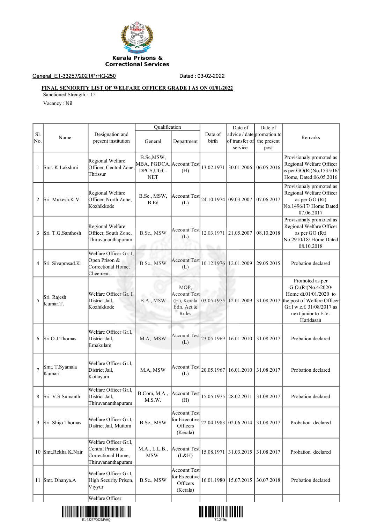

## General\_E1-33257/2021/PrHQ-250 Dated : 03-02-2022

## **FINAL SENIORITY LIST OF WELFARE OFFICER GRADE I AS ON 01/01/2022**

Sanctioned Strength : 15

Vacancy : Nil

|                |                          |                                                                                       | Qualification                                                     |                                                                   |                              | Date of                                                             | Date of    |                                                                                                                                                                |
|----------------|--------------------------|---------------------------------------------------------------------------------------|-------------------------------------------------------------------|-------------------------------------------------------------------|------------------------------|---------------------------------------------------------------------|------------|----------------------------------------------------------------------------------------------------------------------------------------------------------------|
| Sl.<br>No.     | Name                     | Designation and<br>present institution                                                | General                                                           | Department                                                        | Date of<br>birth             | advice / date promotion to<br>of transfer of the present<br>service | post       | Remarks                                                                                                                                                        |
| 1              | Smt. K.Lakshmi           | Regional Welfare<br>Officer, Central Zone,<br>Thrissur                                | B.Sc,MSW,<br>MBA, PGDCA, Account Test<br>DPCS, UGC-<br><b>NET</b> | (H)                                                               | 13.02.1971                   | 30.01.2006                                                          | 06.05.2016 | Provisionaly promoted as<br>Regional Welfare Officer<br>as per $GO(Rt)No.1535/16/$<br>Home, Dated:06.05.2016                                                   |
| $\overline{c}$ | Sri. Mukesh.K.V.         | Regional Welfare<br>Officer, North Zone,<br>Kozhikkode                                | B.Sc., MSW,<br>B.Ed                                               | Account Test<br>(L)                                               | 24.10.1974                   | 09.03.2007                                                          | 07.06.2017 | Provisionaly promoted as<br>Regional Welfare Officer<br>as per GO (Rt)<br>No.1496/17/ Home Dated<br>07.06.2017                                                 |
| 3              | Sri. T.G.Santhosh        | Regional Welfare<br>Officer, South Zone,<br>Thiruvananthapuram                        | B.Sc., MSW                                                        | <b>Account Test</b><br>(L)                                        | 12.03.1971<br><b>Charles</b> | 21.05.2007                                                          | 08.10.2018 | Provisionaly promoted as<br>Regional Welfare Officer<br>as per GO (Rt)<br>No.2910/18/ Home Dated<br>08.10.2018                                                 |
| 4              | Sri. Sivaprasad.K.       | Welfare Officer Gr. I,<br>Open Prison &<br>Correctional Home,<br>Cheemeni             | B.Sc., MSW                                                        | <b>Account Test</b><br>(L)                                        |                              | 10.12.1976 12.01.2009                                               | 29.05.2015 | Probation declared                                                                                                                                             |
| 5              | Sri. Rajesh<br>Kumar.T.  | Welfare Officer Gr. I.<br>District Jail,<br>Kozhikkode                                | B.A., MSW                                                         | MOP,<br><b>Account Test</b><br>(H), Kerala<br>Edn. Act &<br>Rules | 03.05.1975                   | 12.01.2009                                                          | 31.08.2017 | Promoted as per<br>G.O.(Rt)No.4/2020/<br>Home dt.01/01/2020 to<br>the post of Welfare Officer<br>Gr.I w.e.f. 31/08/2017 as<br>next junior to E.V.<br>Haridasan |
| 6              | Sri.O.J.Thomas           | Welfare Officer Gr.I,<br>District Jail,<br>Ernakulam                                  | M.A, MSW                                                          | <b>Account Test</b><br>(L)                                        | 23.05.1969                   | 16.01.2010                                                          | 31.08.2017 | Probation declared                                                                                                                                             |
| $\overline{7}$ | Smt. T.Syamala<br>Kumari | Welfare Officer Gr.I,<br>District Jail,<br>Kottayam                                   | M.A, MSW                                                          | Account Test<br>(L)                                               | 20.05.1967                   | 16.01.2010                                                          | 31.08.2017 | Probation declared                                                                                                                                             |
| 8              | Sri. V.S.Sumanth         | Welfare Officer Gr.I.<br>District Jail,<br>Thiruvananthapuram                         | B.Com, M.A.,<br>M.S.W.                                            | Account Test<br>(H)                                               |                              | 15.05.1975   28.02.2011                                             | 31.08.2017 | Probation declared                                                                                                                                             |
| 9              | Sri. Shijo Thomas        | Welfare Officer Gr.I,<br>District Jail, Muttom                                        | B.Sc., MSW                                                        | Account Test<br>for Executive<br>Officers<br>(Kerala)             |                              | 22.04.1983 02.06.2014                                               | 31.08.2017 | Probation declared                                                                                                                                             |
|                | 10 Smt.Rekha K.Nair      | Welfare Officer Gr.I,<br>Central Prison &<br>Correctional Home,<br>Thiruvananthapuram | M.A., L.L.B.,<br>MSW                                              | Account Test<br>(L&H)                                             |                              | 15.08.1971 31.03.2015                                               | 31.08.2017 | Probation declared                                                                                                                                             |
|                | 11 Smt. Dhanya.A         | Welfare Officer Gr.I,<br>High Security Prison,<br>Viyyur                              | B.Sc., MSW                                                        | Account Test<br>for Executive<br>Officers<br>(Kerala)             |                              | 16.01.1980 15.07.2015                                               | 30.07.2018 | Probation declared                                                                                                                                             |
|                |                          | Welfare Officer                                                                       |                                                                   |                                                                   |                              |                                                                     |            |                                                                                                                                                                |